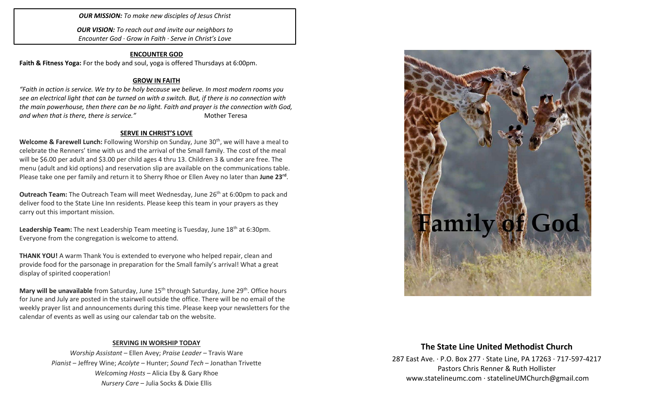#### *OUR MISSION: To make new disciples of Jesus Christ*

*OUR VISION: To reach out and invite our neighbors to Encounter God · Grow in Faith · Serve in Christ's Love*

#### **ENCOUNTER GOD**

**Faith & Fitness Yoga:** For the body and soul, yoga is offered Thursdays at 6:00pm.

#### **GROW IN FAITH**

*"Faith in action is service. We try to be holy because we believe. In most modern rooms you see an electrical light that can be turned on with a switch. But, if there is no connection with the main powerhouse, then there can be no light. Faith and prayer is the connection with God,*  and when that is there, there is service." The Mother Teresa

#### **SERVE IN CHRIST'S LOVE**

Welcome & Farewell Lunch: Following Worship on Sunday, June 30<sup>th</sup>, we will have a meal to celebrate the Renners' time with us and the arrival of the Small family. The cost of the meal will be \$6.00 per adult and \$3.00 per child ages 4 thru 13. Children 3 & under are free. The menu (adult and kid options) and reservation slip are available on the communications table. Please take one per family and return it to Sherry Rhoe or Ellen Avey no later than **June 23rd** .

**Outreach Team:** The Outreach Team will meet Wednesday, June 26<sup>th</sup> at 6:00pm to pack and deliver food to the State Line Inn residents. Please keep this team in your prayers as they carry out this important mission.

**Leadership Team:** The next Leadership Team meeting is Tuesday, June 18<sup>th</sup> at 6:30pm. Everyone from the congregation is welcome to attend.

**THANK YOU!** A warm Thank You is extended to everyone who helped repair, clean and provide food for the parsonage in preparation for the Small family's arrival! What a great display of spirited cooperation!

**Mary will be unavailable** from Saturday, June 15<sup>th</sup> through Saturday, June 29<sup>th</sup>. Office hours for June and July are posted in the stairwell outside the office. There will be no email of the weekly prayer list and announcements during this time. Please keep your newsletters for the calendar of events as well as using our calendar tab on the website.

#### **SERVING IN WORSHIP TODAY**

*Worship Assistant* – Ellen Avey; *Praise Leader* – Travis Ware *Pianist* – Jeffrey Wine; *Acolyte* – Hunter; *Sound Tech* – Jonathan Trivette *Welcoming Hosts* – Alicia Eby & Gary Rhoe *Nursery Care* – Julia Socks & Dixie Ellis



## **The State Line United Methodist Church**

287 East Ave. · P.O. Box 277 · State Line, PA 17263 · 717-597-4217 Pastors Chris Renner & Ruth Hollister [www.statelineumc.com](http://www.statelineumc.com/) · statelineUMChurch@gmail.com